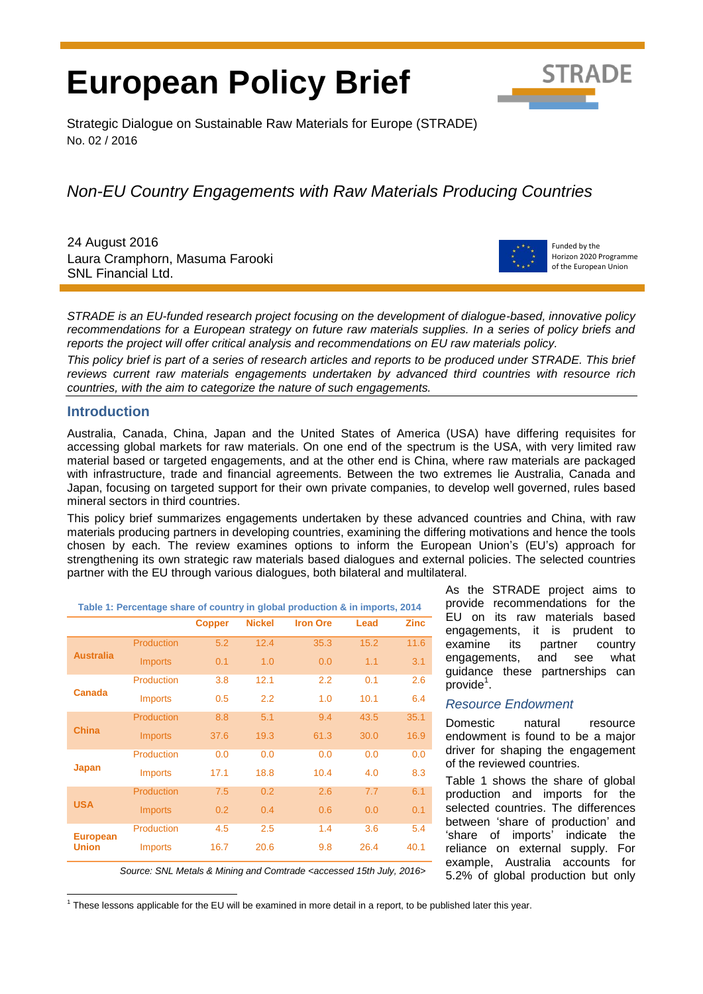# **European Policy Brief**



Strategic Dialogue on Sustainable Raw Materials for Europe (STRADE) No. 02 / 2016

# *Non-EU Country Engagements with Raw Materials Producing Countries*

24 August 2016 Laura Cramphorn, Masuma Farooki SNL Financial Ltd.



Funded by the Horizon 2020 Programme of the European Union

*STRADE is an EU-funded research project focusing on the development of dialogue-based, innovative policy recommendations for a European strategy on future raw materials supplies. In a series of policy briefs and reports the project will offer critical analysis and recommendations on EU raw materials policy.* 

*This policy brief is part of a series of research articles and reports to be produced under STRADE. This brief reviews current raw materials engagements undertaken by advanced third countries with resource rich countries, with the aim to categorize the nature of such engagements.* 

# **Introduction**

Australia, Canada, China, Japan and the United States of America (USA) have differing requisites for accessing global markets for raw materials. On one end of the spectrum is the USA, with very limited raw material based or targeted engagements, and at the other end is China, where raw materials are packaged with infrastructure, trade and financial agreements. Between the two extremes lie Australia, Canada and Japan, focusing on targeted support for their own private companies, to develop well governed, rules based mineral sectors in third countries.

This policy brief summarizes engagements undertaken by these advanced countries and China, with raw materials producing partners in developing countries, examining the differing motivations and hence the tools chosen by each. The review examines options to inform the European Union's (EU's) approach for strengthening its own strategic raw materials based dialogues and external policies. The selected countries partner with the EU through various dialogues, both bilateral and multilateral.

| Table 1: Percentage share of country in global production & in imports, 2014 |                |               |               |                 |      |             |  |
|------------------------------------------------------------------------------|----------------|---------------|---------------|-----------------|------|-------------|--|
|                                                                              |                | <b>Copper</b> | <b>Nickel</b> | <b>Iron Ore</b> | Lead | <b>Zinc</b> |  |
| <b>Australia</b>                                                             | Production     | 5.2           | 12.4          | 35.3            | 15.2 | 11.6        |  |
|                                                                              | <b>Imports</b> | 0.1           | 1.0           | 0.0             | 1.1  | 3.1         |  |
| Canada                                                                       | Production     | 3.8           | 12.1          | 2.2             | 0.1  | 2.6         |  |
|                                                                              | <b>Imports</b> | 0.5           | 2.2           | 1.0             | 10.1 | 6.4         |  |
| <b>China</b>                                                                 | Production     | 8.8           | 5.1           | 9.4             | 43.5 | 35.1        |  |
|                                                                              | <b>Imports</b> | 37.6          | 19.3          | 61.3            | 30.0 | 16.9        |  |
| <b>Japan</b>                                                                 | Production     | 0.0           | 0.0           | 0.0             | 0.0  | 0.0         |  |
|                                                                              | <b>Imports</b> | 17.1          | 18.8          | 10.4            | 4.0  | 8.3         |  |
| <b>USA</b>                                                                   | Production     | 7.5           | 0.2           | 2.6             | 7.7  | 6.1         |  |
|                                                                              | <b>Imports</b> | 0.2           | 0.4           | 0.6             | 0.0  | 0.1         |  |
| <b>European</b><br><b>Union</b>                                              | Production     | 4.5           | 2.5           | 1.4             | 3.6  | 5.4         |  |
|                                                                              | <b>Imports</b> | 16.7          | 20.6          | 9.8             | 26.4 | 40.1        |  |

As the STRADE project aims to provide recommendations for the EU on its raw materials based engagements, it is prudent to examine its partner country engagements, and see what guidance these partnerships can  $\bar{p}$ rovide<sup>1</sup>.

# *Resource Endowment*

Domestic natural resource endowment is found to be a major driver for shaping the engagement of the reviewed countries.

Table 1 shows the share of global production and imports for the selected countries. The differences between 'share of production' and 'share of imports' indicate the reliance on external supply. For example, Australia accounts for 5.2% of global production but only

*Source: SNL Metals & Mining and Comtrade <accessed 15th July, 2016>*

 <sup>1</sup> These lessons applicable for the EU will be examined in more detail in a report, to be published later this year.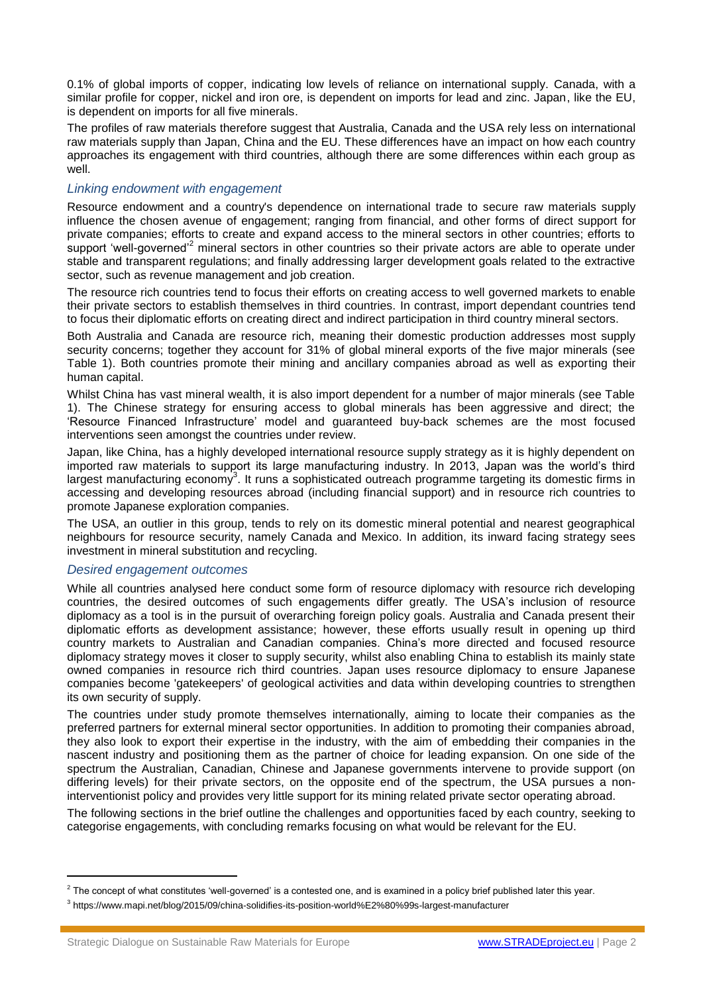0.1% of global imports of copper, indicating low levels of reliance on international supply. Canada, with a similar profile for copper, nickel and iron ore, is dependent on imports for lead and zinc. Japan, like the EU, is dependent on imports for all five minerals.

The profiles of raw materials therefore suggest that Australia, Canada and the USA rely less on international raw materials supply than Japan, China and the EU. These differences have an impact on how each country approaches its engagement with third countries, although there are some differences within each group as well.

# *Linking endowment with engagement*

Resource endowment and a country's dependence on international trade to secure raw materials supply influence the chosen avenue of engagement; ranging from financial, and other forms of direct support for private companies; efforts to create and expand access to the mineral sectors in other countries; efforts to support 'well-governed'<sup>2</sup> mineral sectors in other countries so their private actors are able to operate under stable and transparent regulations; and finally addressing larger development goals related to the extractive sector, such as revenue management and job creation.

The resource rich countries tend to focus their efforts on creating access to well governed markets to enable their private sectors to establish themselves in third countries. In contrast, import dependant countries tend to focus their diplomatic efforts on creating direct and indirect participation in third country mineral sectors.

Both Australia and Canada are resource rich, meaning their domestic production addresses most supply security concerns; together they account for 31% of global mineral exports of the five major minerals (see Table 1). Both countries promote their mining and ancillary companies abroad as well as exporting their human capital.

Whilst China has vast mineral wealth, it is also import dependent for a number of major minerals (see Table 1). The Chinese strategy for ensuring access to global minerals has been aggressive and direct; the 'Resource Financed Infrastructure' model and guaranteed buy-back schemes are the most focused interventions seen amongst the countries under review.

Japan, like China, has a highly developed international resource supply strategy as it is highly dependent on imported raw materials to support its large manufacturing industry. In 2013, Japan was the world's third largest manufacturing economy<sup>3</sup>. It runs a sophisticated outreach programme targeting its domestic firms in accessing and developing resources abroad (including financial support) and in resource rich countries to promote Japanese exploration companies.

The USA, an outlier in this group, tends to rely on its domestic mineral potential and nearest geographical neighbours for resource security, namely Canada and Mexico. In addition, its inward facing strategy sees investment in mineral substitution and recycling.

# *Desired engagement outcomes*

While all countries analysed here conduct some form of resource diplomacy with resource rich developing countries, the desired outcomes of such engagements differ greatly. The USA's inclusion of resource diplomacy as a tool is in the pursuit of overarching foreign policy goals. Australia and Canada present their diplomatic efforts as development assistance; however, these efforts usually result in opening up third country markets to Australian and Canadian companies. China's more directed and focused resource diplomacy strategy moves it closer to supply security, whilst also enabling China to establish its mainly state owned companies in resource rich third countries. Japan uses resource diplomacy to ensure Japanese companies become 'gatekeepers' of geological activities and data within developing countries to strengthen its own security of supply.

The countries under study promote themselves internationally, aiming to locate their companies as the preferred partners for external mineral sector opportunities. In addition to promoting their companies abroad, they also look to export their expertise in the industry, with the aim of embedding their companies in the nascent industry and positioning them as the partner of choice for leading expansion. On one side of the spectrum the Australian, Canadian, Chinese and Japanese governments intervene to provide support (on differing levels) for their private sectors, on the opposite end of the spectrum, the USA pursues a noninterventionist policy and provides very little support for its mining related private sector operating abroad.

The following sections in the brief outline the challenges and opportunities faced by each country, seeking to categorise engagements, with concluding remarks focusing on what would be relevant for the EU.

 $^2$  The concept of what constitutes 'well-governed' is a contested one, and is examined in a policy brief published later this year.

<sup>3</sup> https://www.mapi.net/blog/2015/09/china-solidifies-its-position-world%E2%80%99s-largest-manufacturer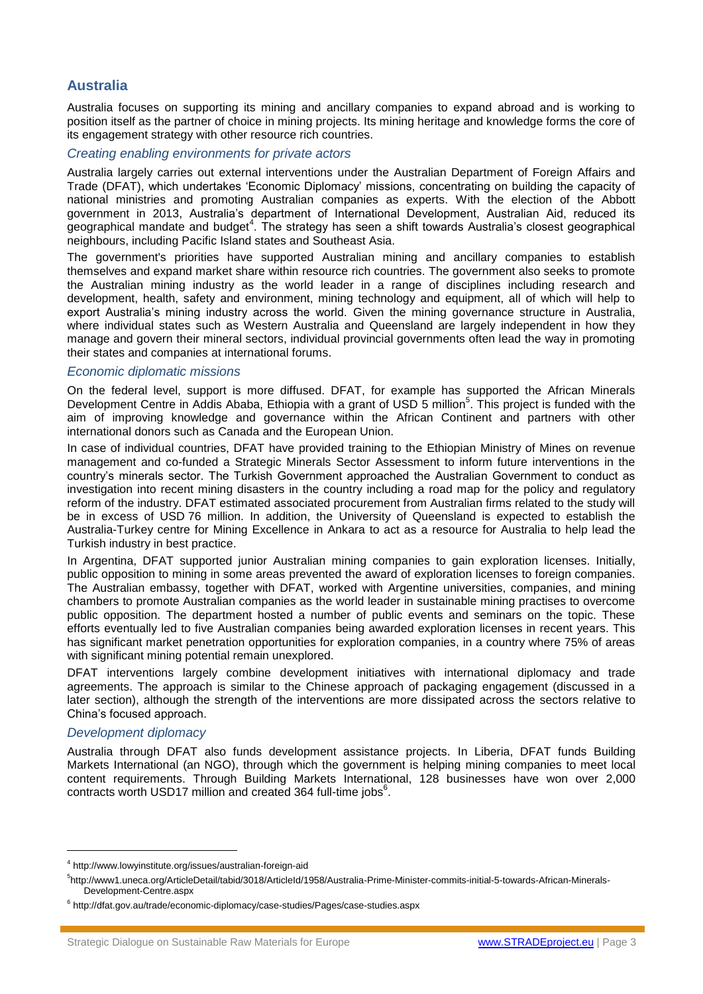# **Australia**

Australia focuses on supporting its mining and ancillary companies to expand abroad and is working to position itself as the partner of choice in mining projects. Its mining heritage and knowledge forms the core of its engagement strategy with other resource rich countries.

# *Creating enabling environments for private actors*

Australia largely carries out external interventions under the Australian Department of Foreign Affairs and Trade (DFAT), which undertakes 'Economic Diplomacy' missions, concentrating on building the capacity of national ministries and promoting Australian companies as experts. With the election of the Abbott government in 2013, Australia's department of International Development, Australian Aid, reduced its geographical mandate and budget<sup>4</sup>. The strategy has seen a shift towards Australia's closest geographical neighbours, including Pacific Island states and Southeast Asia.

The government's priorities have supported Australian mining and ancillary companies to establish themselves and expand market share within resource rich countries. The government also seeks to promote the Australian mining industry as the world leader in a range of disciplines including research and development, health, safety and environment, mining technology and equipment, all of which will help to export Australia's mining industry across the world. Given the mining governance structure in Australia, where individual states such as Western Australia and Queensland are largely independent in how they manage and govern their mineral sectors, individual provincial governments often lead the way in promoting their states and companies at international forums.

#### *Economic diplomatic missions*

On the federal level, support is more diffused. DFAT, for example has supported the African Minerals Development Centre in Addis Ababa, Ethiopia with a grant of USD 5 million<sup>5</sup>. This project is funded with the aim of improving knowledge and governance within the African Continent and partners with other international donors such as Canada and the European Union.

In case of individual countries, DFAT have provided training to the Ethiopian Ministry of Mines on revenue management and co-funded a Strategic Minerals Sector Assessment to inform future interventions in the country's minerals sector. The Turkish Government approached the Australian Government to conduct as investigation into recent mining disasters in the country including a road map for the policy and regulatory reform of the industry. DFAT estimated associated procurement from Australian firms related to the study will be in excess of USD 76 million. In addition, the University of Queensland is expected to establish the Australia-Turkey centre for Mining Excellence in Ankara to act as a resource for Australia to help lead the Turkish industry in best practice.

In Argentina, DFAT supported junior Australian mining companies to gain exploration licenses. Initially, public opposition to mining in some areas prevented the award of exploration licenses to foreign companies. The Australian embassy, together with DFAT, worked with Argentine universities, companies, and mining chambers to promote Australian companies as the world leader in sustainable mining practises to overcome public opposition. The department hosted a number of public events and seminars on the topic. These efforts eventually led to five Australian companies being awarded exploration licenses in recent years. This has significant market penetration opportunities for exploration companies, in a country where 75% of areas with significant mining potential remain unexplored.

DFAT interventions largely combine development initiatives with international diplomacy and trade agreements. The approach is similar to the Chinese approach of packaging engagement (discussed in a later section), although the strength of the interventions are more dissipated across the sectors relative to China's focused approach.

# *Development diplomacy*

Australia through DFAT also funds development assistance projects. In Liberia, DFAT funds Building Markets International (an NGO), through which the government is helping mining companies to meet local content requirements. Through Building Markets International, 128 businesses have won over 2,000 contracts worth USD17 million and created 364 full-time jobs $<sup>6</sup>$ .</sup>

<sup>4</sup> http://www.lowyinstitute.org/issues/australian-foreign-aid

<sup>5</sup> http://www1.uneca.org/ArticleDetail/tabid/3018/ArticleId/1958/Australia-Prime-Minister-commits-initial-5-towards-African-Minerals-Development-Centre.aspx

<sup>6</sup> http://dfat.gov.au/trade/economic-diplomacy/case-studies/Pages/case-studies.aspx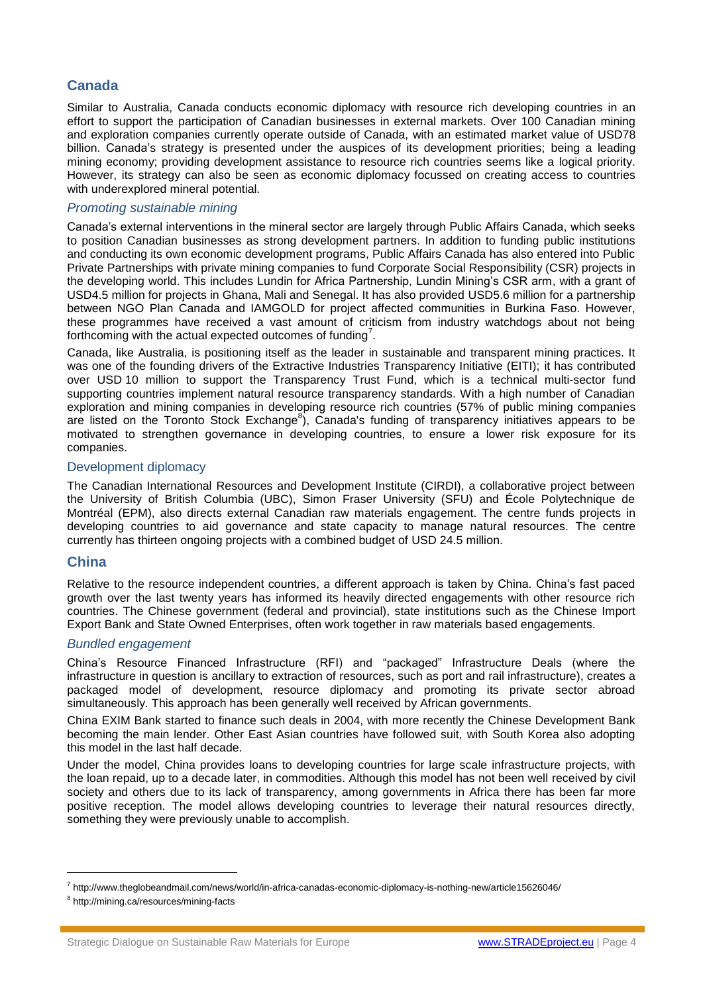# **Canada**

Similar to Australia, Canada conducts economic diplomacy with resource rich developing countries in an effort to support the participation of Canadian businesses in external markets. Over 100 Canadian mining and exploration companies currently operate outside of Canada, with an estimated market value of USD78 billion. Canada's strategy is presented under the auspices of its development priorities; being a leading mining economy; providing development assistance to resource rich countries seems like a logical priority. However, its strategy can also be seen as economic diplomacy focussed on creating access to countries with underexplored mineral potential.

# *Promoting sustainable mining*

Canada's external interventions in the mineral sector are largely through Public Affairs Canada, which seeks to position Canadian businesses as strong development partners. In addition to funding public institutions and conducting its own economic development programs, Public Affairs Canada has also entered into Public Private Partnerships with private mining companies to fund Corporate Social Responsibility (CSR) projects in the developing world. This includes Lundin for Africa Partnership, Lundin Mining's CSR arm, with a grant of USD4.5 million for projects in Ghana, Mali and Senegal. It has also provided USD5.6 million for a partnership between NGO Plan Canada and IAMGOLD for project affected communities in Burkina Faso. However, these programmes have received a vast amount of criticism from industry watchdogs about not being forthcoming with the actual expected outcomes of funding<sup>7</sup>.

Canada, like Australia, is positioning itself as the leader in sustainable and transparent mining practices. It was one of the founding drivers of the Extractive Industries Transparency Initiative (EITI); it has contributed over USD 10 million to support the Transparency Trust Fund, which is a technical multi-sector fund supporting countries implement natural resource transparency standards. With a high number of Canadian exploration and mining companies in developing resource rich countries (57% of public mining companies are listed on the Toronto Stock Exchange<sup>8</sup>), Canada's funding of transparency initiatives appears to be motivated to strengthen governance in developing countries, to ensure a lower risk exposure for its companies.

# Development diplomacy

The Canadian International Resources and Development Institute (CIRDI), a collaborative project between the University of British Columbia (UBC), Simon Fraser University (SFU) and École Polytechnique de Montréal (EPM), also directs external Canadian raw materials engagement. The centre funds projects in developing countries to aid governance and state capacity to manage natural resources. The centre currently has thirteen ongoing projects with a combined budget of USD 24.5 million.

# **China**

Relative to the resource independent countries, a different approach is taken by China. China's fast paced growth over the last twenty years has informed its heavily directed engagements with other resource rich countries. The Chinese government (federal and provincial), state institutions such as the Chinese Import Export Bank and State Owned Enterprises, often work together in raw materials based engagements.

# *Bundled engagement*

China's Resource Financed Infrastructure (RFI) and "packaged" Infrastructure Deals (where the infrastructure in question is ancillary to extraction of resources, such as port and rail infrastructure), creates a packaged model of development, resource diplomacy and promoting its private sector abroad simultaneously. This approach has been generally well received by African governments.

China EXIM Bank started to finance such deals in 2004, with more recently the Chinese Development Bank becoming the main lender. Other East Asian countries have followed suit, with South Korea also adopting this model in the last half decade.

Under the model, China provides loans to developing countries for large scale infrastructure projects, with the loan repaid, up to a decade later, in commodities. Although this model has not been well received by civil society and others due to its lack of transparency, among governments in Africa there has been far more positive reception. The model allows developing countries to leverage their natural resources directly, something they were previously unable to accomplish.

<sup>&</sup>lt;sup>7</sup> http://www.theglobeandmail.com/news/world/in-africa-canadas-economic-diplomacy-is-nothing-new/article15626046/

<sup>&</sup>lt;sup>8</sup> http://mining.ca/resources/mining-facts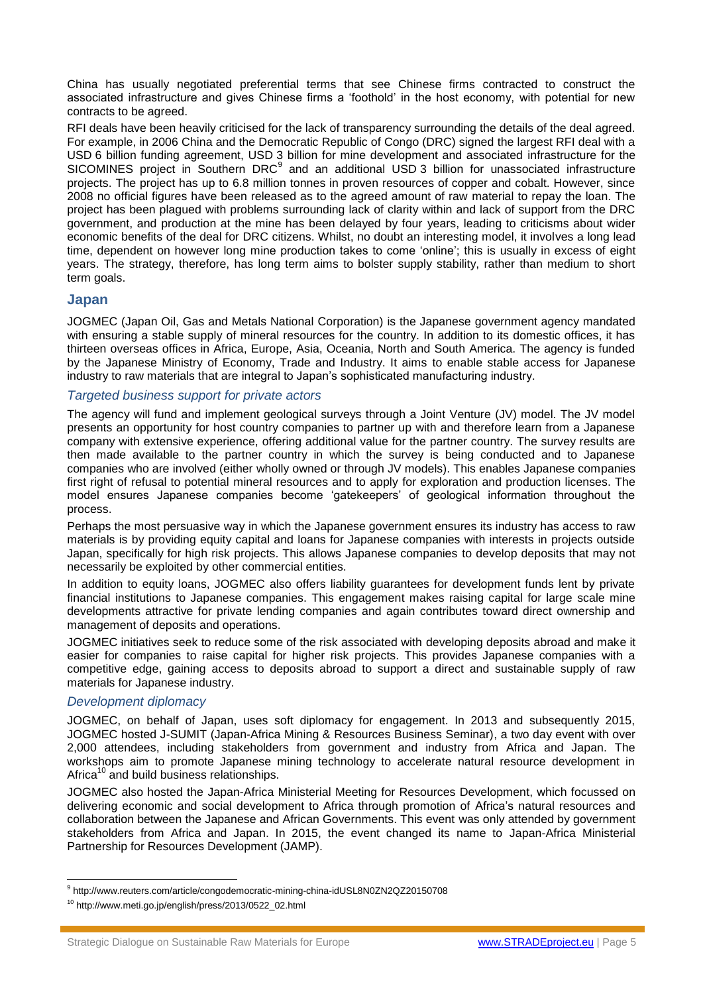China has usually negotiated preferential terms that see Chinese firms contracted to construct the associated infrastructure and gives Chinese firms a 'foothold' in the host economy, with potential for new contracts to be agreed.

RFI deals have been heavily criticised for the lack of transparency surrounding the details of the deal agreed. For example, in 2006 China and the Democratic Republic of Congo (DRC) signed the largest RFI deal with a USD 6 billion funding agreement, USD 3 billion for mine development and associated infrastructure for the SICOMINES project in Southern DRC<sup>9</sup> and an additional USD 3 billion for unassociated infrastructure projects. The project has up to 6.8 million tonnes in proven resources of copper and cobalt. However, since 2008 no official figures have been released as to the agreed amount of raw material to repay the loan. The project has been plagued with problems surrounding lack of clarity within and lack of support from the DRC government, and production at the mine has been delayed by four years, leading to criticisms about wider economic benefits of the deal for DRC citizens. Whilst, no doubt an interesting model, it involves a long lead time, dependent on however long mine production takes to come 'online'; this is usually in excess of eight years. The strategy, therefore, has long term aims to bolster supply stability, rather than medium to short term goals.

# **Japan**

JOGMEC (Japan Oil, Gas and Metals National Corporation) is the Japanese government agency mandated with ensuring a stable supply of mineral resources for the country. In addition to its domestic offices, it has thirteen overseas offices in Africa, Europe, Asia, Oceania, North and South America. The agency is funded by the Japanese Ministry of Economy, Trade and Industry. It aims to enable stable access for Japanese industry to raw materials that are integral to Japan's sophisticated manufacturing industry.

# *Targeted business support for private actors*

The agency will fund and implement geological surveys through a Joint Venture (JV) model. The JV model presents an opportunity for host country companies to partner up with and therefore learn from a Japanese company with extensive experience, offering additional value for the partner country. The survey results are then made available to the partner country in which the survey is being conducted and to Japanese companies who are involved (either wholly owned or through JV models). This enables Japanese companies first right of refusal to potential mineral resources and to apply for exploration and production licenses. The model ensures Japanese companies become 'gatekeepers' of geological information throughout the process.

Perhaps the most persuasive way in which the Japanese government ensures its industry has access to raw materials is by providing equity capital and loans for Japanese companies with interests in projects outside Japan, specifically for high risk projects. This allows Japanese companies to develop deposits that may not necessarily be exploited by other commercial entities.

In addition to equity loans, JOGMEC also offers liability guarantees for development funds lent by private financial institutions to Japanese companies. This engagement makes raising capital for large scale mine developments attractive for private lending companies and again contributes toward direct ownership and management of deposits and operations.

JOGMEC initiatives seek to reduce some of the risk associated with developing deposits abroad and make it easier for companies to raise capital for higher risk projects. This provides Japanese companies with a competitive edge, gaining access to deposits abroad to support a direct and sustainable supply of raw materials for Japanese industry.

# *Development diplomacy*

JOGMEC, on behalf of Japan, uses soft diplomacy for engagement. In 2013 and subsequently 2015, JOGMEC hosted J-SUMIT (Japan-Africa Mining & Resources Business Seminar), a two day event with over 2,000 attendees, including stakeholders from government and industry from Africa and Japan. The workshops aim to promote Japanese mining technology to accelerate natural resource development in Africa<sup>10</sup> and build business relationships.

JOGMEC also hosted the Japan-Africa Ministerial Meeting for Resources Development, which focussed on delivering economic and social development to Africa through promotion of Africa's natural resources and collaboration between the Japanese and African Governments. This event was only attended by government stakeholders from Africa and Japan. In 2015, the event changed its name to Japan-Africa Ministerial Partnership for Resources Development (JAMP).

 9 http://www.reuters.com/article/congodemocratic-mining-china-idUSL8N0ZN2QZ20150708

<sup>10</sup> http://www.meti.go.jp/english/press/2013/0522\_02.html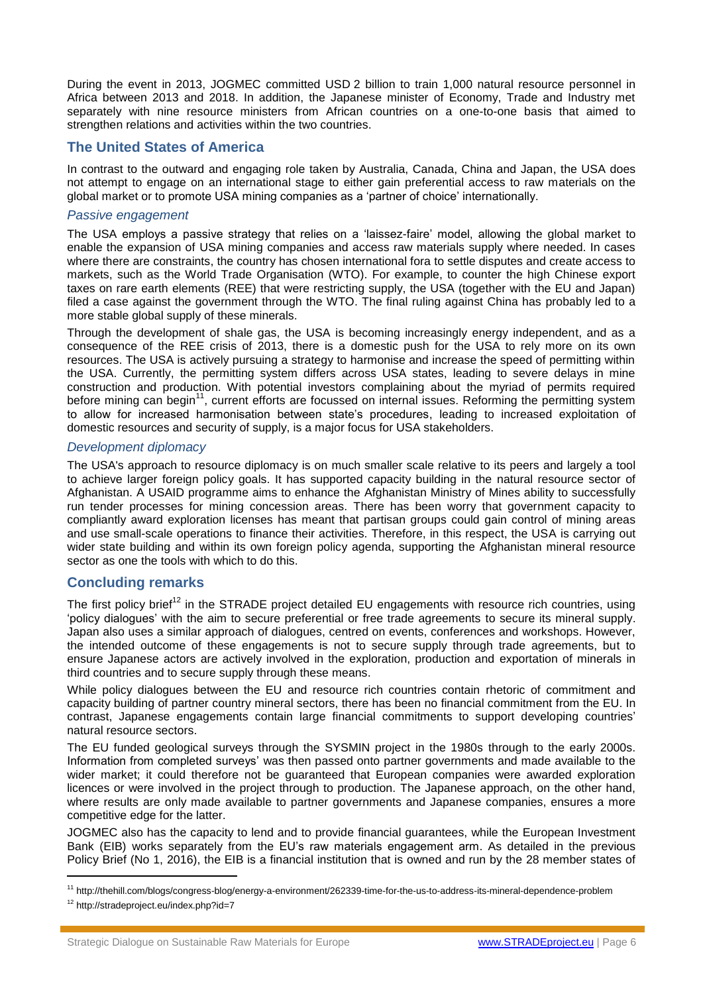During the event in 2013, JOGMEC committed USD 2 billion to train 1,000 natural resource personnel in Africa between 2013 and 2018. In addition, the Japanese minister of Economy, Trade and Industry met separately with nine resource ministers from African countries on a one-to-one basis that aimed to strengthen relations and activities within the two countries.

# **The United States of America**

In contrast to the outward and engaging role taken by Australia, Canada, China and Japan, the USA does not attempt to engage on an international stage to either gain preferential access to raw materials on the global market or to promote USA mining companies as a 'partner of choice' internationally.

# *Passive engagement*

The USA employs a passive strategy that relies on a 'laissez-faire' model, allowing the global market to enable the expansion of USA mining companies and access raw materials supply where needed. In cases where there are constraints, the country has chosen international fora to settle disputes and create access to markets, such as the World Trade Organisation (WTO). For example, to counter the high Chinese export taxes on rare earth elements (REE) that were restricting supply, the USA (together with the EU and Japan) filed a case against the government through the WTO. The final ruling against China has probably led to a more stable global supply of these minerals.

Through the development of shale gas, the USA is becoming increasingly energy independent, and as a consequence of the REE crisis of 2013, there is a domestic push for the USA to rely more on its own resources. The USA is actively pursuing a strategy to harmonise and increase the speed of permitting within the USA. Currently, the permitting system differs across USA states, leading to severe delays in mine construction and production. With potential investors complaining about the myriad of permits required before mining can begin<sup>11</sup>, current efforts are focussed on internal issues. Reforming the permitting system to allow for increased harmonisation between state's procedures, leading to increased exploitation of domestic resources and security of supply, is a major focus for USA stakeholders.

# *Development diplomacy*

The USA's approach to resource diplomacy is on much smaller scale relative to its peers and largely a tool to achieve larger foreign policy goals. It has supported capacity building in the natural resource sector of Afghanistan. A USAID programme aims to enhance the Afghanistan Ministry of Mines ability to successfully run tender processes for mining concession areas. There has been worry that government capacity to compliantly award exploration licenses has meant that partisan groups could gain control of mining areas and use small-scale operations to finance their activities. Therefore, in this respect, the USA is carrying out wider state building and within its own foreign policy agenda, supporting the Afghanistan mineral resource sector as one the tools with which to do this.

# **Concluding remarks**

The first policy brief<sup>12</sup> in the STRADE project detailed EU engagements with resource rich countries, using 'policy dialogues' with the aim to secure preferential or free trade agreements to secure its mineral supply. Japan also uses a similar approach of dialogues, centred on events, conferences and workshops. However, the intended outcome of these engagements is not to secure supply through trade agreements, but to ensure Japanese actors are actively involved in the exploration, production and exportation of minerals in third countries and to secure supply through these means.

While policy dialogues between the EU and resource rich countries contain rhetoric of commitment and capacity building of partner country mineral sectors, there has been no financial commitment from the EU. In contrast, Japanese engagements contain large financial commitments to support developing countries' natural resource sectors.

The EU funded geological surveys through the SYSMIN project in the 1980s through to the early 2000s. Information from completed surveys' was then passed onto partner governments and made available to the wider market; it could therefore not be guaranteed that European companies were awarded exploration licences or were involved in the project through to production. The Japanese approach, on the other hand, where results are only made available to partner governments and Japanese companies, ensures a more competitive edge for the latter.

JOGMEC also has the capacity to lend and to provide financial guarantees, while the European Investment Bank (EIB) works separately from the EU's raw materials engagement arm. As detailed in the previous Policy Brief (No 1, 2016), the EIB is a financial institution that is owned and run by the 28 member states of

<sup>11</sup> http://thehill.com/blogs/congress-blog/energy-a-environment/262339-time-for-the-us-to-address-its-mineral-dependence-problem

<sup>12</sup> http://stradeproject.eu/index.php?id=7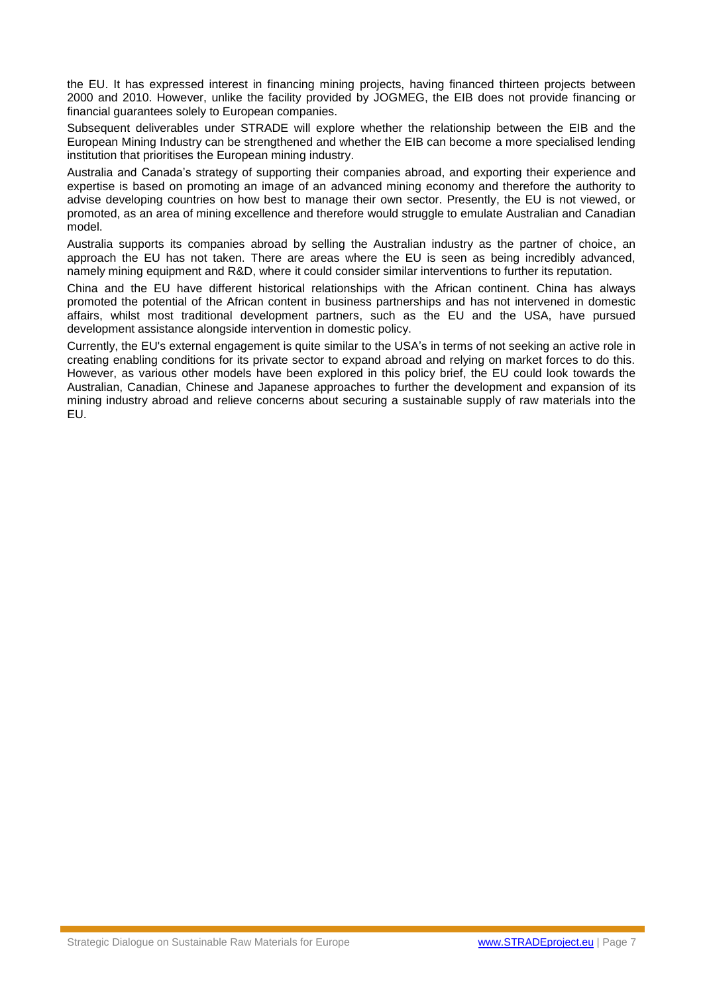the EU. It has expressed interest in financing mining projects, having financed thirteen projects between 2000 and 2010. However, unlike the facility provided by JOGMEG, the EIB does not provide financing or financial guarantees solely to European companies.

Subsequent deliverables under STRADE will explore whether the relationship between the EIB and the European Mining Industry can be strengthened and whether the EIB can become a more specialised lending institution that prioritises the European mining industry.

Australia and Canada's strategy of supporting their companies abroad, and exporting their experience and expertise is based on promoting an image of an advanced mining economy and therefore the authority to advise developing countries on how best to manage their own sector. Presently, the EU is not viewed, or promoted, as an area of mining excellence and therefore would struggle to emulate Australian and Canadian model.

Australia supports its companies abroad by selling the Australian industry as the partner of choice, an approach the EU has not taken. There are areas where the EU is seen as being incredibly advanced, namely mining equipment and R&D, where it could consider similar interventions to further its reputation.

China and the EU have different historical relationships with the African continent. China has always promoted the potential of the African content in business partnerships and has not intervened in domestic affairs, whilst most traditional development partners, such as the EU and the USA, have pursued development assistance alongside intervention in domestic policy.

Currently, the EU's external engagement is quite similar to the USA's in terms of not seeking an active role in creating enabling conditions for its private sector to expand abroad and relying on market forces to do this. However, as various other models have been explored in this policy brief, the EU could look towards the Australian, Canadian, Chinese and Japanese approaches to further the development and expansion of its mining industry abroad and relieve concerns about securing a sustainable supply of raw materials into the EU.